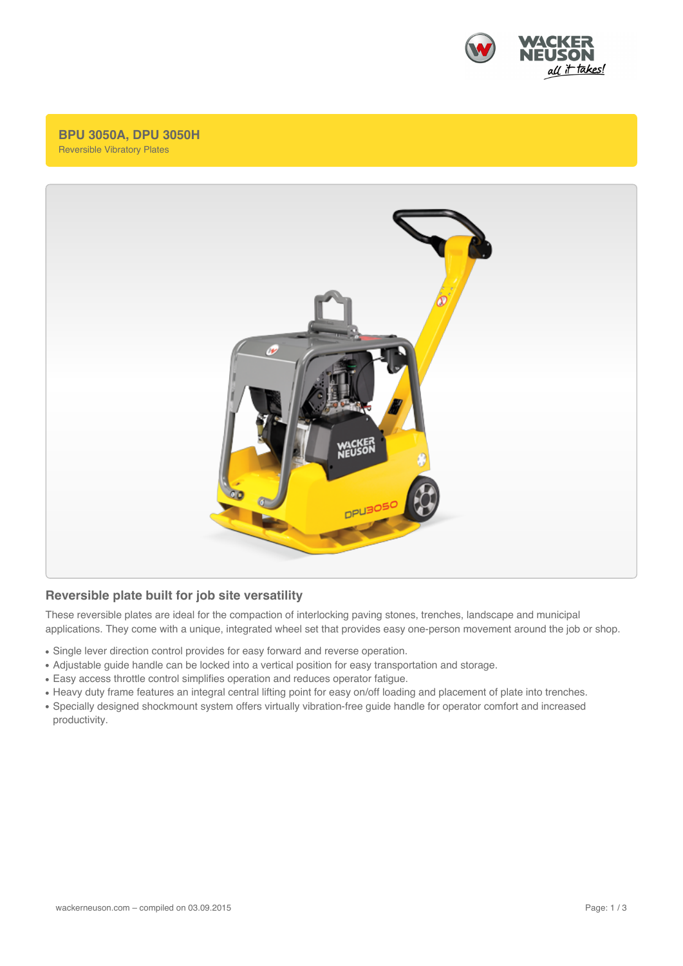

## **BPU 3050A, DPU 3050H** Reversible Vibratory Plates



## **Reversible plate built for job site versatility**

These reversible plates are ideal for the compaction of interlocking paving stones, trenches, landscape and municipal applications. They come with a unique, integrated wheel set that provides easy one-person movement around the job or shop.

- Single lever direction control provides for easy forward and reverse operation.
- Adjustable guide handle can be locked into a vertical position for easy transportation and storage.
- Easy access throttle control simplifies operation and reduces operator fatigue.
- Heavy duty frame features an integral central lifting point for easy on/off loading and placement of plate into trenches.
- Specially designed shockmount system offers virtually vibration-free guide handle for operator comfort and increased productivity.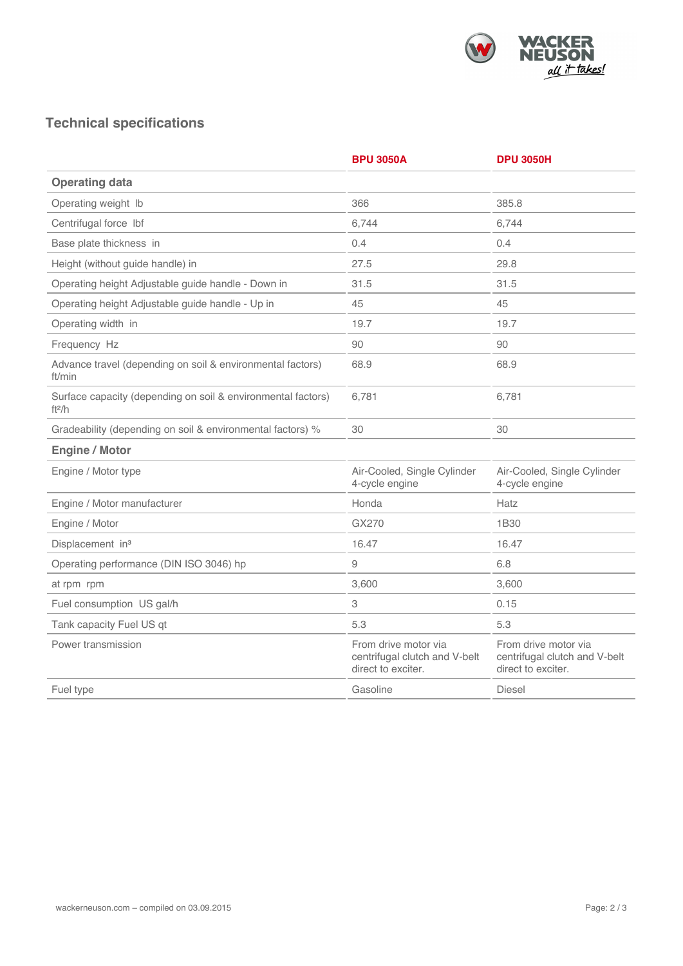

## **Technical specifications**

|                                                                          | <b>BPU 3050A</b>                                                            | <b>DPU 3050H</b>                                                            |
|--------------------------------------------------------------------------|-----------------------------------------------------------------------------|-----------------------------------------------------------------------------|
| <b>Operating data</b>                                                    |                                                                             |                                                                             |
| Operating weight Ib                                                      | 366                                                                         | 385.8                                                                       |
| Centrifugal force lbf                                                    | 6,744                                                                       | 6,744                                                                       |
| Base plate thickness in                                                  | 0.4                                                                         | 0.4                                                                         |
| Height (without guide handle) in                                         | 27.5                                                                        | 29.8                                                                        |
| Operating height Adjustable guide handle - Down in                       | 31.5                                                                        | 31.5                                                                        |
| Operating height Adjustable guide handle - Up in                         | 45                                                                          | 45                                                                          |
| Operating width in                                                       | 19.7                                                                        | 19.7                                                                        |
| Frequency Hz                                                             | 90                                                                          | 90                                                                          |
| Advance travel (depending on soil & environmental factors)<br>ft/min     | 68.9                                                                        | 68.9                                                                        |
| Surface capacity (depending on soil & environmental factors)<br>ft $2/h$ | 6,781                                                                       | 6,781                                                                       |
| Gradeability (depending on soil & environmental factors) %               | 30                                                                          | 30                                                                          |
| <b>Engine / Motor</b>                                                    |                                                                             |                                                                             |
| Engine / Motor type                                                      | Air-Cooled, Single Cylinder<br>4-cycle engine                               | Air-Cooled, Single Cylinder<br>4-cycle engine                               |
| Engine / Motor manufacturer                                              | Honda                                                                       | Hatz                                                                        |
| Engine / Motor                                                           | GX270                                                                       | 1B30                                                                        |
| Displacement in <sup>3</sup>                                             | 16.47                                                                       | 16.47                                                                       |
| Operating performance (DIN ISO 3046) hp                                  | 9                                                                           | 6.8                                                                         |
| at rpm rpm                                                               | 3,600                                                                       | 3,600                                                                       |
| Fuel consumption US gal/h                                                | 3                                                                           | 0.15                                                                        |
| Tank capacity Fuel US qt                                                 | 5.3                                                                         | 5.3                                                                         |
| Power transmission                                                       | From drive motor via<br>centrifugal clutch and V-belt<br>direct to exciter. | From drive motor via<br>centrifugal clutch and V-belt<br>direct to exciter. |
| Fuel type                                                                | Gasoline                                                                    | <b>Diesel</b>                                                               |